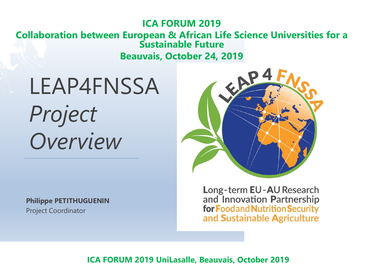#### **ICA FORUM 2019 Collaboration between European & African Life Science Universities for a Sustainable Future Beauvais, October 24, 2019**

LEAP4FNSSA *Project Overview*

**Philippe PETITHUGUENIN** Project Coordinator



Long-term EU-AU Research and Innovation Partnership for Foodand Nutrition Security and Sustainable Agriculture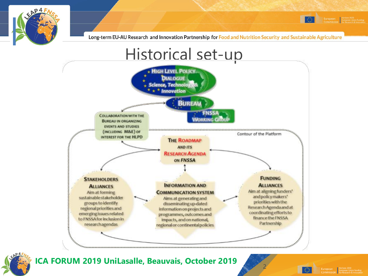







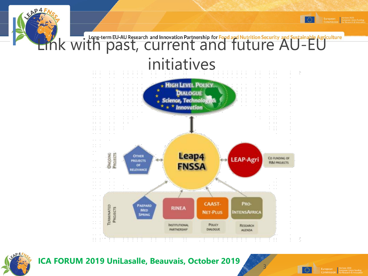



**ICA FORUM 2019 UniLasalle, Beauvais, October 2019**



3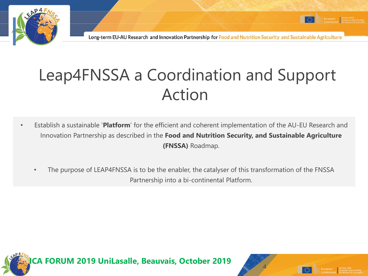

### Leap4FNSSA a Coordination and Support Action

- Establish a sustainable '**Platform**' for the efficient and coherent implementation of the AU-EU Research and Innovation Partnership as described in the **Food and Nutrition Security, and Sustainable Agriculture (FNSSA)** Roadmap.
	- The purpose of LEAP4FNSSA is to be the enabler, the catalyser of this transformation of the FNSSA Partnership into a bi-continental Platform.



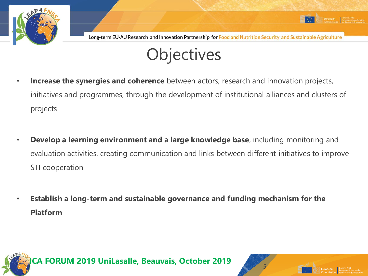

5



- **Increase the synergies and coherence** between actors, research and innovation projects, initiatives and programmes, through the development of institutional alliances and clusters of projects
- **Develop a learning environment and a large knowledge base**, including monitoring and evaluation activities, creating communication and links between different initiatives to improve STI cooperation
- **Establish a long-term and sustainable governance and funding mechanism for the Platform**

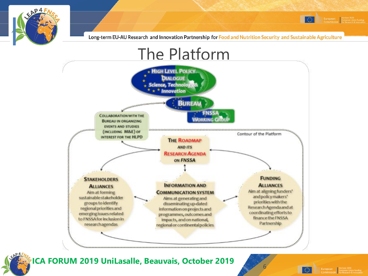



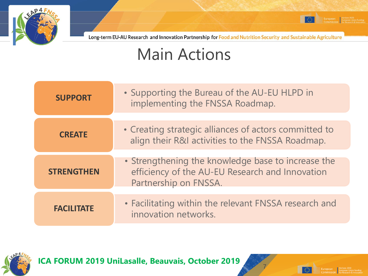

#### Main Actions

| • Supporting the Bureau of the AU-EU HLPD in<br>implementing the FNSSA Roadmap.                                                |
|--------------------------------------------------------------------------------------------------------------------------------|
|                                                                                                                                |
| • Creating strategic alliances of actors committed to<br>align their R&I activities to the FNSSA Roadmap.                      |
|                                                                                                                                |
| • Strengthening the knowledge base to increase the<br>efficiency of the AU-EU Research and Innovation<br>Partnership on FNSSA. |
|                                                                                                                                |
| • Facilitating within the relevant FNSSA research and<br>innovation networks.                                                  |
|                                                                                                                                |



**ICA FORUM 2019 UniLasalle, Beauvais, October 2019**



 $\circ$ 

7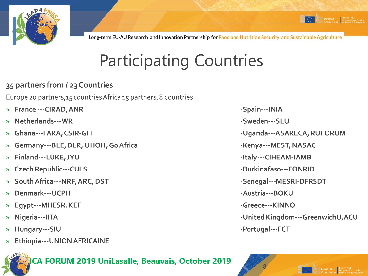

## **Participating Countries**

#### 35 partners from / 23 Countries

Europe 20 partners, 15 countries Africa 15 partners, 8 countries

- **France --- CIRAD, ANR**  $\mathcal{D}$
- Netherlands---WR
- Ghana---FARA, CSIR-GH  $\mathcal{V}$
- Germany---BLE, DLR, UHOH, Go Africa  $\mathcal{V}$
- Finland---LUKE, JYU  $\mathcal{P}$
- **Czech Republic---CULS**  $\mathcal{P}$
- South Africa---NRF, ARC, DST  $\mathcal{V}$
- Denmark---UCPH
- Egypt---MHESR. KEF  $\mathcal{P}$
- Nigeria---IITA  $\mathcal{V}$
- Hungary---SIU  $\mathcal{P}$
- **Ethiopia---UNION AFRICAINE**



- -Spain---INIA
- -Sweden---SLU
- -Uganda---ASARECA, RUFORUM
- -Kenya---MEST, NASAC
- -Italy---CIHEAM-IAMB
- -Burkinafaso---FONRID
- -Senegal---MESRI-DFRSDT
- -Austria---BOKU
- -Greece---KINNO
- -United Kingdom---GreenwichU, ACU
- -Portugal---FCT

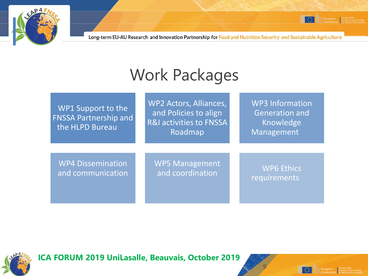

### Work Packages

| WP1 Support to the<br><b>FNSSA Partnership and</b><br>the HLPD Bureau | WP2 Actors, Alliances,<br>and Policies to align<br>R&I activities to FNSSA<br>Roadmap | <b>WP3 Information</b><br><b>Generation and</b><br>Knowledge<br>Management |
|-----------------------------------------------------------------------|---------------------------------------------------------------------------------------|----------------------------------------------------------------------------|
| <b>WP4 Dissemination</b>                                              | <b>WP5 Management</b>                                                                 | <b>WP6 Ethics</b>                                                          |
| and communication                                                     | and coordination                                                                      | requirements                                                               |



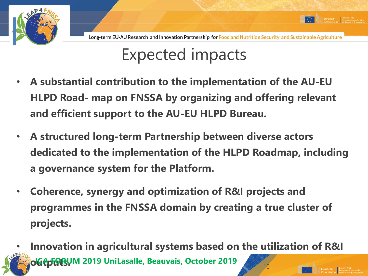

### Expected impacts

- **A substantial contribution to the implementation of the AU-EU HLPD Road- map on FNSSA by organizing and offering relevant and efficient support to the AU-EU HLPD Bureau.**
- **A structured long-term Partnership between diverse actors dedicated to the implementation of the HLPD Roadmap, including a governance system for the Platform.**
- **Coherence, synergy and optimization of R&I projects and programmes in the FNSSA domain by creating a true cluster of projects.**
- **Innovation in agricultural systems based on the utilization of R&I**  *I***CLES & MERCH 2019 UniLasalle, Beauvais, October 2019**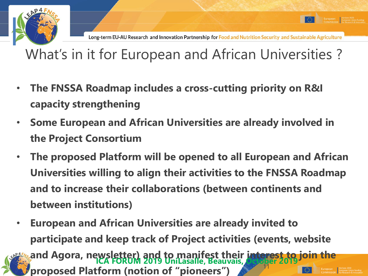

#### What's in it for European and African Universities ?

- **The FNSSA Roadmap includes a cross-cutting priority on R&I capacity strengthening**
- **Some European and African Universities are already involved in the Project Consortium**
- **The proposed Platform will be opened to all European and African Universities willing to align their activities to the FNSSA Roadmap and to increase their collaborations (between continents and between institutions)**
- **European and African Universities are already invited to participate and keep track of Project activities (events, website and Agora, newsletter) and to manifest their interest to join the**  proposed Platform (notion of "pioneers") **ICA FORUM 2019 UniLasalle, Beauvais, October 2019**